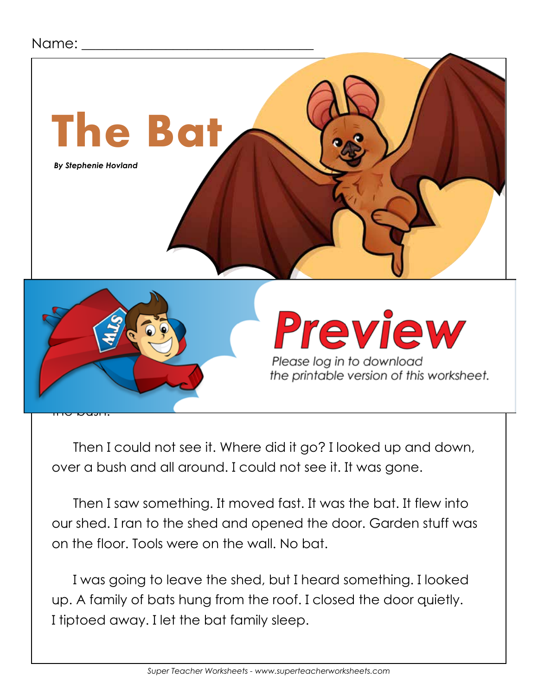## Name:



Then I could not see it. Where did it go? I looked up and down, over a bush and all around. I could not see it. It was gone.

Then I saw something. It moved fast. It was the bat. It flew into our shed. I ran to the shed and opened the door. Garden stuff was on the floor. Tools were on the wall. No bat.

I was going to leave the shed, but I heard something. I looked up. A family of bats hung from the roof. I closed the door quietly. I tiptoed away. I let the bat family sleep.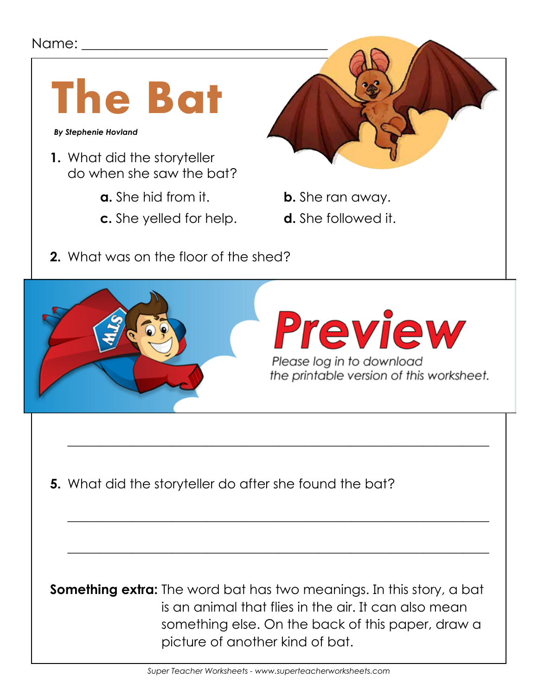## Name: \_\_\_\_\_



 *By Stephenie Hovland*

- **1.** What did the storyteller do when she saw the bat?
	- **a.** She hid from it. **b.** She ran away.
	- **c.** She yelled for help. **d.** She followed it.



- 
- 
- **2.** What was on the floor of the shed?



 $\overline{\phantom{a}}$  , and the contract of the contract of the contract of the contract of the contract of the contract of the contract of the contract of the contract of the contract of the contract of the contract of the contrac

 $\overline{\phantom{a}}$  , and the contract of the contract of the contract of the contract of the contract of the contract of the contract of the contract of the contract of the contract of the contract of the contract of the contrac

 $\overline{\phantom{a}}$  , and the contract of the contract of the contract of the contract of the contract of the contract of the contract of the contract of the contract of the contract of the contract of the contract of the contrac

**5.** What did the storyteller do after she found the bat?

**Something extra:** The word bat has two meanings. In this story, a bat is an animal that flies in the air. It can also mean something else. On the back of this paper, draw a picture of another kind of bat.